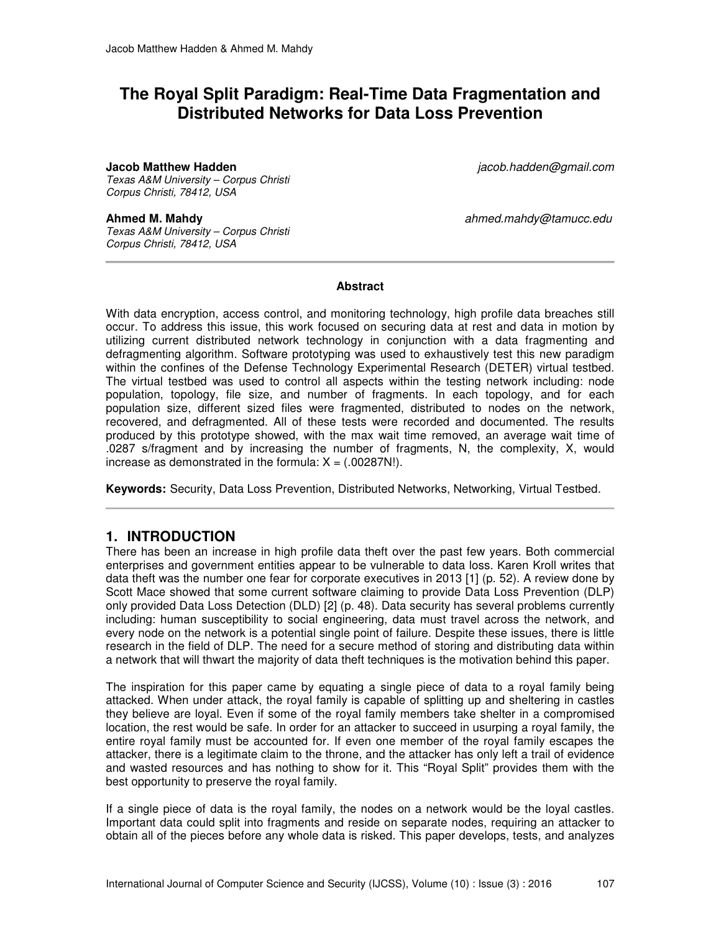# **The Royal Split Paradigm: Real-Time Data Fragmentation and Distributed Networks for Data Loss Prevention**

#### **Jacob Matthew Hadden** jacob.hadden@gmail.com

Texas A&M University – Corpus Christi Corpus Christi, 78412, USA

Texas A&M University – Corpus Christi Corpus Christi, 78412, USA

**Ahmed M. Mahdy** ahmed.mahdy@tamucc.edu

#### **Abstract**

With data encryption, access control, and monitoring technology, high profile data breaches still occur. To address this issue, this work focused on securing data at rest and data in motion by utilizing current distributed network technology in conjunction with a data fragmenting and defragmenting algorithm. Software prototyping was used to exhaustively test this new paradigm within the confines of the Defense Technology Experimental Research (DETER) virtual testbed. The virtual testbed was used to control all aspects within the testing network including: node population, topology, file size, and number of fragments. In each topology, and for each population size, different sized files were fragmented, distributed to nodes on the network, recovered, and defragmented. All of these tests were recorded and documented. The results produced by this prototype showed, with the max wait time removed, an average wait time of .0287 s/fragment and by increasing the number of fragments, N, the complexity, X, would increase as demonstrated in the formula:  $X = (.00287N!)$ .

**Keywords:** Security, Data Loss Prevention, Distributed Networks, Networking, Virtual Testbed.

### **1. INTRODUCTION**

There has been an increase in high profile data theft over the past few years. Both commercial enterprises and government entities appear to be vulnerable to data loss. Karen Kroll writes that data theft was the number one fear for corporate executives in 2013 [1] (p. 52). A review done by Scott Mace showed that some current software claiming to provide Data Loss Prevention (DLP) only provided Data Loss Detection (DLD) [2] (p. 48). Data security has several problems currently including: human susceptibility to social engineering, data must travel across the network, and every node on the network is a potential single point of failure. Despite these issues, there is little research in the field of DLP. The need for a secure method of storing and distributing data within a network that will thwart the majority of data theft techniques is the motivation behind this paper.

The inspiration for this paper came by equating a single piece of data to a royal family being attacked. When under attack, the royal family is capable of splitting up and sheltering in castles they believe are loyal. Even if some of the royal family members take shelter in a compromised location, the rest would be safe. In order for an attacker to succeed in usurping a royal family, the entire royal family must be accounted for. If even one member of the royal family escapes the attacker, there is a legitimate claim to the throne, and the attacker has only left a trail of evidence and wasted resources and has nothing to show for it. This "Royal Split" provides them with the best opportunity to preserve the royal family.

If a single piece of data is the royal family, the nodes on a network would be the loyal castles. Important data could split into fragments and reside on separate nodes, requiring an attacker to obtain all of the pieces before any whole data is risked. This paper develops, tests, and analyzes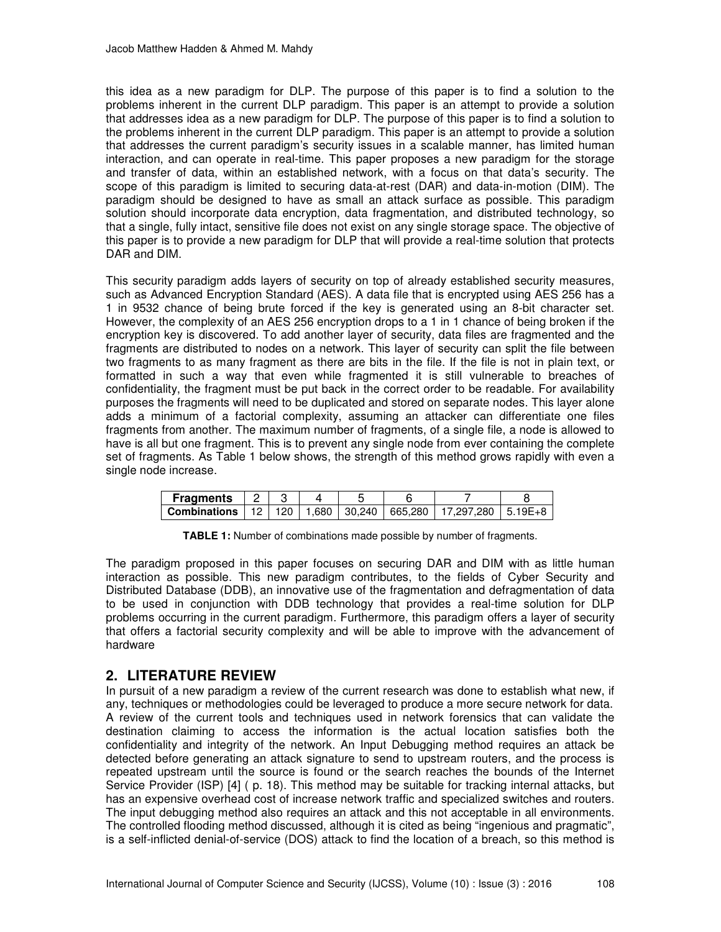this idea as a new paradigm for DLP. The purpose of this paper is to find a solution to the problems inherent in the current DLP paradigm. This paper is an attempt to provide a solution that addresses idea as a new paradigm for DLP. The purpose of this paper is to find a solution to the problems inherent in the current DLP paradigm. This paper is an attempt to provide a solution that addresses the current paradigm's security issues in a scalable manner, has limited human interaction, and can operate in real-time. This paper proposes a new paradigm for the storage and transfer of data, within an established network, with a focus on that data's security. The scope of this paradigm is limited to securing data-at-rest (DAR) and data-in-motion (DIM). The paradigm should be designed to have as small an attack surface as possible. This paradigm solution should incorporate data encryption, data fragmentation, and distributed technology, so that a single, fully intact, sensitive file does not exist on any single storage space. The objective of this paper is to provide a new paradigm for DLP that will provide a real-time solution that protects DAR and DIM.

This security paradigm adds layers of security on top of already established security measures, such as Advanced Encryption Standard (AES). A data file that is encrypted using AES 256 has a 1 in 9532 chance of being brute forced if the key is generated using an 8-bit character set. However, the complexity of an AES 256 encryption drops to a 1 in 1 chance of being broken if the encryption key is discovered. To add another layer of security, data files are fragmented and the fragments are distributed to nodes on a network. This layer of security can split the file between two fragments to as many fragment as there are bits in the file. If the file is not in plain text, or formatted in such a way that even while fragmented it is still vulnerable to breaches of confidentiality, the fragment must be put back in the correct order to be readable. For availability purposes the fragments will need to be duplicated and stored on separate nodes. This layer alone adds a minimum of a factorial complexity, assuming an attacker can differentiate one files fragments from another. The maximum number of fragments, of a single file, a node is allowed to have is all but one fragment. This is to prevent any single node from ever containing the complete set of fragments. As Table 1 below shows, the strength of this method grows rapidly with even a single node increase.

| <b>Fragments</b>                                                                 |  |  |  |  |
|----------------------------------------------------------------------------------|--|--|--|--|
| <b>Combinations</b>   12   120   1,680   30,240   665,280   17,297,280   5.19E+8 |  |  |  |  |

**TABLE 1:** Number of combinations made possible by number of fragments.

The paradigm proposed in this paper focuses on securing DAR and DIM with as little human interaction as possible. This new paradigm contributes, to the fields of Cyber Security and Distributed Database (DDB), an innovative use of the fragmentation and defragmentation of data to be used in conjunction with DDB technology that provides a real-time solution for DLP problems occurring in the current paradigm. Furthermore, this paradigm offers a layer of security that offers a factorial security complexity and will be able to improve with the advancement of hardware

## **2. LITERATURE REVIEW**

In pursuit of a new paradigm a review of the current research was done to establish what new, if any, techniques or methodologies could be leveraged to produce a more secure network for data. A review of the current tools and techniques used in network forensics that can validate the destination claiming to access the information is the actual location satisfies both the confidentiality and integrity of the network. An Input Debugging method requires an attack be detected before generating an attack signature to send to upstream routers, and the process is repeated upstream until the source is found or the search reaches the bounds of the Internet Service Provider (ISP) [4] ( p. 18). This method may be suitable for tracking internal attacks, but has an expensive overhead cost of increase network traffic and specialized switches and routers. The input debugging method also requires an attack and this not acceptable in all environments. The controlled flooding method discussed, although it is cited as being "ingenious and pragmatic", is a self-inflicted denial-of-service (DOS) attack to find the location of a breach, so this method is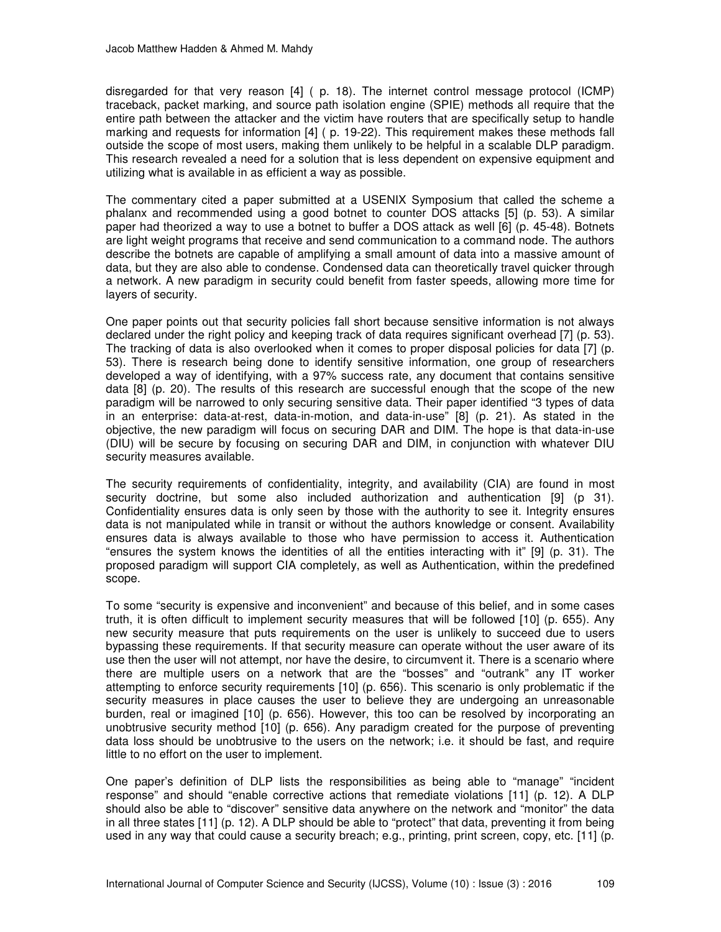disregarded for that very reason [4] ( p. 18). The internet control message protocol (ICMP) traceback, packet marking, and source path isolation engine (SPIE) methods all require that the entire path between the attacker and the victim have routers that are specifically setup to handle marking and requests for information [4] ( p. 19-22). This requirement makes these methods fall outside the scope of most users, making them unlikely to be helpful in a scalable DLP paradigm. This research revealed a need for a solution that is less dependent on expensive equipment and utilizing what is available in as efficient a way as possible.

The commentary cited a paper submitted at a USENIX Symposium that called the scheme a phalanx and recommended using a good botnet to counter DOS attacks [5] (p. 53). A similar paper had theorized a way to use a botnet to buffer a DOS attack as well [6] (p. 45-48). Botnets are light weight programs that receive and send communication to a command node. The authors describe the botnets are capable of amplifying a small amount of data into a massive amount of data, but they are also able to condense. Condensed data can theoretically travel quicker through a network. A new paradigm in security could benefit from faster speeds, allowing more time for layers of security.

One paper points out that security policies fall short because sensitive information is not always declared under the right policy and keeping track of data requires significant overhead [7] (p. 53). The tracking of data is also overlooked when it comes to proper disposal policies for data [7] (p. 53). There is research being done to identify sensitive information, one group of researchers developed a way of identifying, with a 97% success rate, any document that contains sensitive data [8] (p. 20). The results of this research are successful enough that the scope of the new paradigm will be narrowed to only securing sensitive data. Their paper identified "3 types of data in an enterprise: data-at-rest, data-in-motion, and data-in-use" [8] (p. 21). As stated in the objective, the new paradigm will focus on securing DAR and DIM. The hope is that data-in-use (DIU) will be secure by focusing on securing DAR and DIM, in conjunction with whatever DIU security measures available.

The security requirements of confidentiality, integrity, and availability (CIA) are found in most security doctrine, but some also included authorization and authentication [9] (p 31). Confidentiality ensures data is only seen by those with the authority to see it. Integrity ensures data is not manipulated while in transit or without the authors knowledge or consent. Availability ensures data is always available to those who have permission to access it. Authentication "ensures the system knows the identities of all the entities interacting with it" [9] (p. 31). The proposed paradigm will support CIA completely, as well as Authentication, within the predefined scope.

To some "security is expensive and inconvenient" and because of this belief, and in some cases truth, it is often difficult to implement security measures that will be followed [10] (p. 655). Any new security measure that puts requirements on the user is unlikely to succeed due to users bypassing these requirements. If that security measure can operate without the user aware of its use then the user will not attempt, nor have the desire, to circumvent it. There is a scenario where there are multiple users on a network that are the "bosses" and "outrank" any IT worker attempting to enforce security requirements [10] (p. 656). This scenario is only problematic if the security measures in place causes the user to believe they are undergoing an unreasonable burden, real or imagined [10] (p. 656). However, this too can be resolved by incorporating an unobtrusive security method [10] (p. 656). Any paradigm created for the purpose of preventing data loss should be unobtrusive to the users on the network; i.e. it should be fast, and require little to no effort on the user to implement.

One paper's definition of DLP lists the responsibilities as being able to "manage" "incident response" and should "enable corrective actions that remediate violations [11] (p. 12). A DLP should also be able to "discover" sensitive data anywhere on the network and "monitor" the data in all three states [11] (p. 12). A DLP should be able to "protect" that data, preventing it from being used in any way that could cause a security breach; e.g., printing, print screen, copy, etc. [11] (p.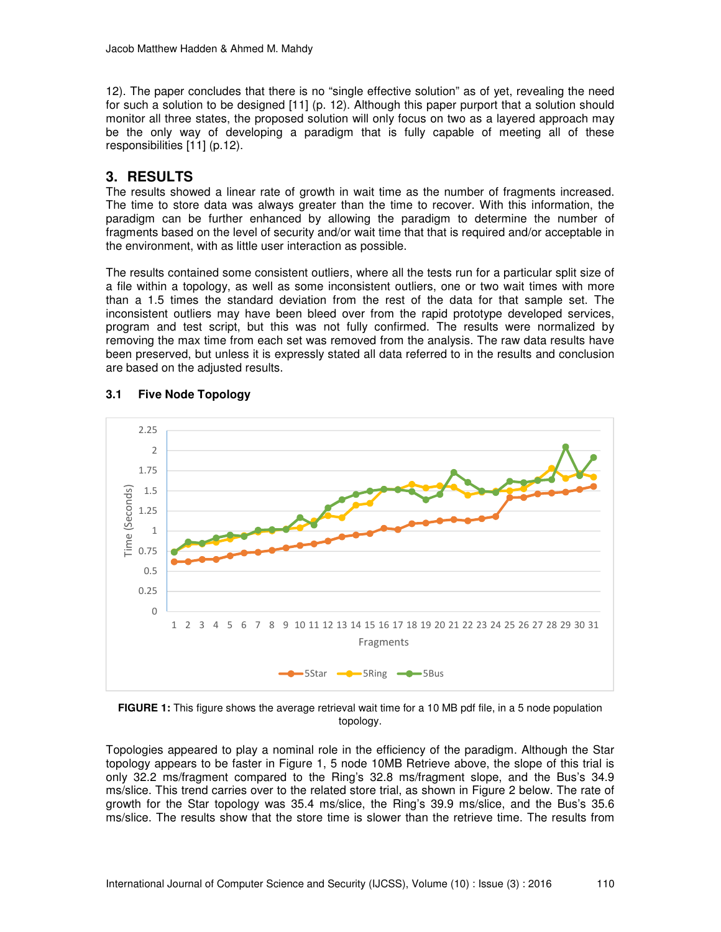12). The paper concludes that there is no "single effective solution" as of yet, revealing the need for such a solution to be designed [11] (p. 12). Although this paper purport that a solution should monitor all three states, the proposed solution will only focus on two as a layered approach may be the only way of developing a paradigm that is fully capable of meeting all of these responsibilities [11] (p.12).

# **3. RESULTS**

The results showed a linear rate of growth in wait time as the number of fragments increased. The time to store data was always greater than the time to recover. With this information, the paradigm can be further enhanced by allowing the paradigm to determine the number of fragments based on the level of security and/or wait time that that is required and/or acceptable in the environment, with as little user interaction as possible.

The results contained some consistent outliers, where all the tests run for a particular split size of a file within a topology, as well as some inconsistent outliers, one or two wait times with more than a 1.5 times the standard deviation from the rest of the data for that sample set. The inconsistent outliers may have been bleed over from the rapid prototype developed services, program and test script, but this was not fully confirmed. The results were normalized by removing the max time from each set was removed from the analysis. The raw data results have been preserved, but unless it is expressly stated all data referred to in the results and conclusion are based on the adjusted results.



## **3.1 Five Node Topology**

**FIGURE 1:** This figure shows the average retrieval wait time for a 10 MB pdf file, in a 5 node population topology.

Topologies appeared to play a nominal role in the efficiency of the paradigm. Although the Star topology appears to be faster in Figure 1, 5 node 10MB Retrieve above, the slope of this trial is only 32.2 ms/fragment compared to the Ring's 32.8 ms/fragment slope, and the Bus's 34.9 ms/slice. This trend carries over to the related store trial, as shown in Figure 2 below. The rate of growth for the Star topology was 35.4 ms/slice, the Ring's 39.9 ms/slice, and the Bus's 35.6 ms/slice. The results show that the store time is slower than the retrieve time. The results from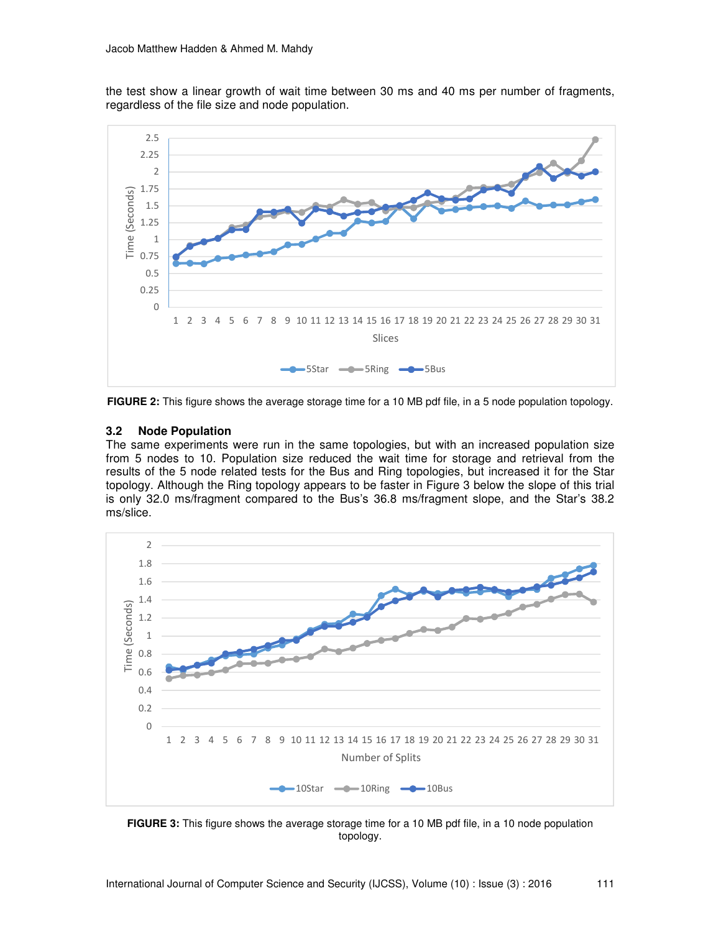the test show a linear growth of wait time between 30 ms and 40 ms per number of fragments, regardless of the file size and node population.



**FIGURE 2:** This figure shows the average storage time for a 10 MB pdf file, in a 5 node population topology.

#### **3.2 Node Population**

The same experiments were run in the same topologies, but with an increased population size from 5 nodes to 10. Population size reduced the wait time for storage and retrieval from the results of the 5 node related tests for the Bus and Ring topologies, but increased it for the Star topology. Although the Ring topology appears to be faster in Figure 3 below the slope of this trial is only 32.0 ms/fragment compared to the Bus's 36.8 ms/fragment slope, and the Star's 38.2 ms/slice.



**FIGURE 3:** This figure shows the average storage time for a 10 MB pdf file, in a 10 node population topology.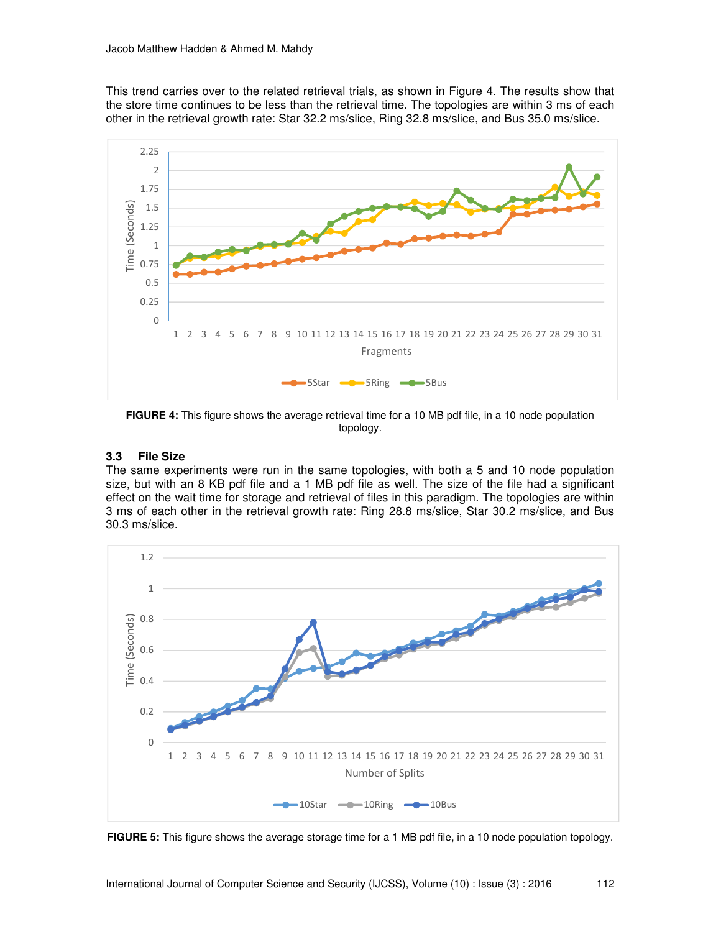This trend carries over to the related retrieval trials, as shown in Figure 4. The results show that the store time continues to be less than the retrieval time. The topologies are within 3 ms of each other in the retrieval growth rate: Star 32.2 ms/slice, Ring 32.8 ms/slice, and Bus 35.0 ms/slice.



**FIGURE 4:** This figure shows the average retrieval time for a 10 MB pdf file, in a 10 node population topology.

#### **3.3 File Size**

The same experiments were run in the same topologies, with both a 5 and 10 node population size, but with an 8 KB pdf file and a 1 MB pdf file as well. The size of the file had a significant effect on the wait time for storage and retrieval of files in this paradigm. The topologies are within 3 ms of each other in the retrieval growth rate: Ring 28.8 ms/slice, Star 30.2 ms/slice, and Bus 30.3 ms/slice.



**FIGURE 5:** This figure shows the average storage time for a 1 MB pdf file, in a 10 node population topology.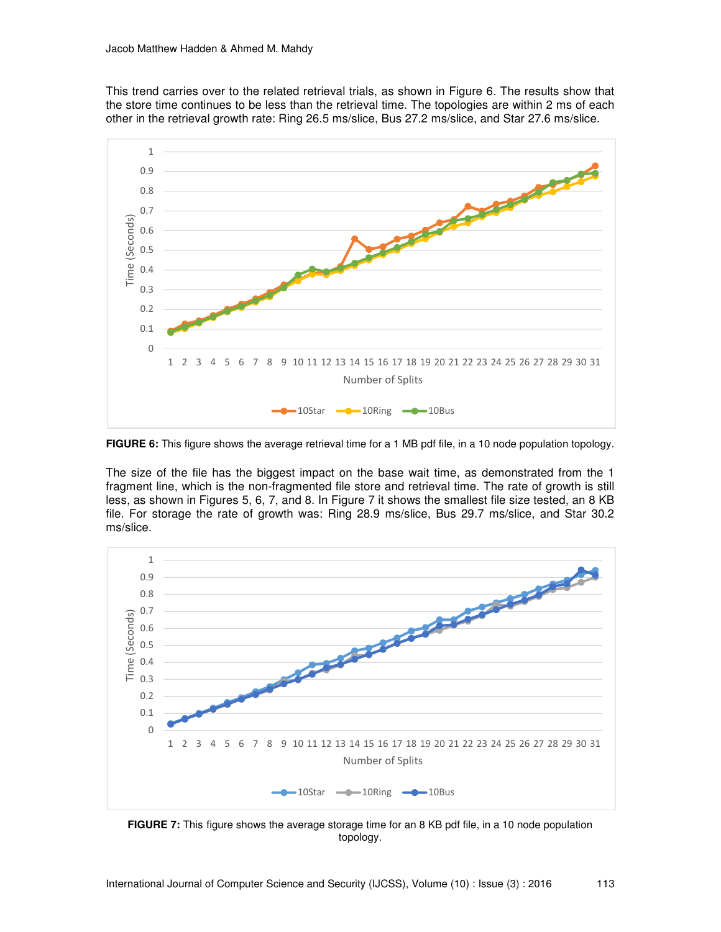This trend carries over to the related retrieval trials, as shown in Figure 6. The results show that the store time continues to be less than the retrieval time. The topologies are within 2 ms of each other in the retrieval growth rate: Ring 26.5 ms/slice, Bus 27.2 ms/slice, and Star 27.6 ms/slice.



**FIGURE 6:** This figure shows the average retrieval time for a 1 MB pdf file, in a 10 node population topology.

The size of the file has the biggest impact on the base wait time, as demonstrated from the 1 fragment line, which is the non-fragmented file store and retrieval time. The rate of growth is still less, as shown in Figures 5, 6, 7, and 8. In Figure 7 it shows the smallest file size tested, an 8 KB file. For storage the rate of growth was: Ring 28.9 ms/slice, Bus 29.7 ms/slice, and Star 30.2 ms/slice.



**FIGURE 7:** This figure shows the average storage time for an 8 KB pdf file, in a 10 node population topology.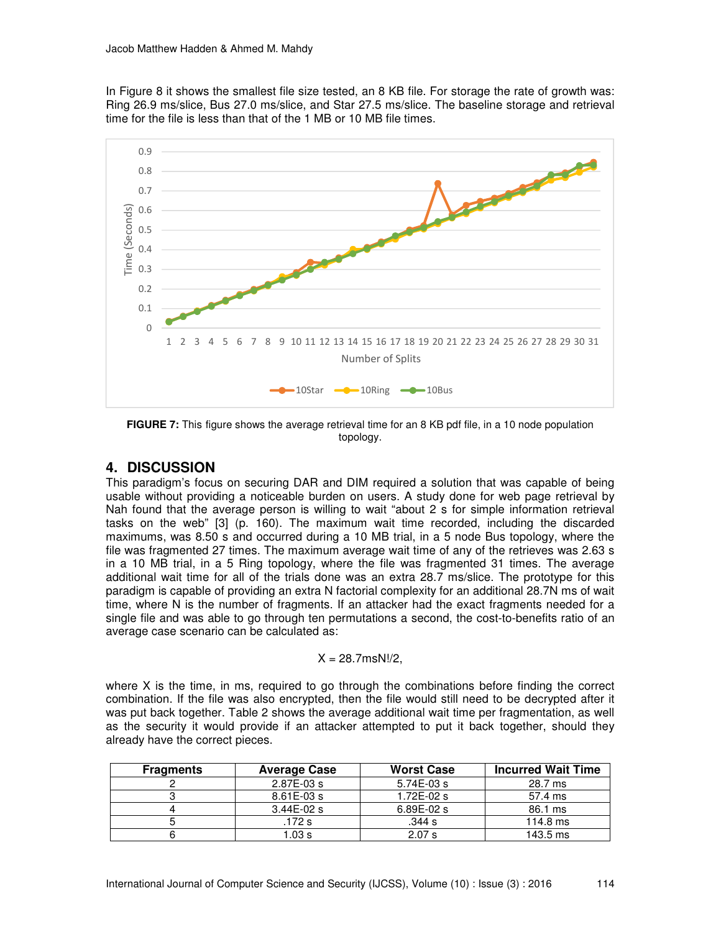In Figure 8 it shows the smallest file size tested, an 8 KB file. For storage the rate of growth was: Ring 26.9 ms/slice, Bus 27.0 ms/slice, and Star 27.5 ms/slice. The baseline storage and retrieval time for the file is less than that of the 1 MB or 10 MB file times.



**FIGURE 7:** This figure shows the average retrieval time for an 8 KB pdf file, in a 10 node population topology.

## **4. DISCUSSION**

This paradigm's focus on securing DAR and DIM required a solution that was capable of being usable without providing a noticeable burden on users. A study done for web page retrieval by Nah found that the average person is willing to wait "about 2 s for simple information retrieval tasks on the web" [3] (p. 160). The maximum wait time recorded, including the discarded maximums, was 8.50 s and occurred during a 10 MB trial, in a 5 node Bus topology, where the file was fragmented 27 times. The maximum average wait time of any of the retrieves was 2.63 s in a 10 MB trial, in a 5 Ring topology, where the file was fragmented 31 times. The average additional wait time for all of the trials done was an extra 28.7 ms/slice. The prototype for this paradigm is capable of providing an extra N factorial complexity for an additional 28.7N ms of wait time, where N is the number of fragments. If an attacker had the exact fragments needed for a single file and was able to go through ten permutations a second, the cost-to-benefits ratio of an average case scenario can be calculated as:

$$
X = 28.7 \text{msN}!/2,
$$

where X is the time, in ms, required to go through the combinations before finding the correct combination. If the file was also encrypted, then the file would still need to be decrypted after it was put back together. Table 2 shows the average additional wait time per fragmentation, as well as the security it would provide if an attacker attempted to put it back together, should they already have the correct pieces.

| <b>Fragments</b> | <b>Average Case</b> | <b>Worst Case</b> | <b>Incurred Wait Time</b> |
|------------------|---------------------|-------------------|---------------------------|
|                  | $2.87E-03s$         | $5.74E-03s$       | 28.7 ms                   |
|                  | $8.61E-03s$         | $1.72E - 02s$     | 57.4 ms                   |
|                  | $3.44E-02s$         | $6.89E-02s$       | 86.1 ms                   |
|                  | .172 s              | .344 s            | $114.8$ ms                |
|                  | .03s                | 2.07 s            | $143.5$ ms                |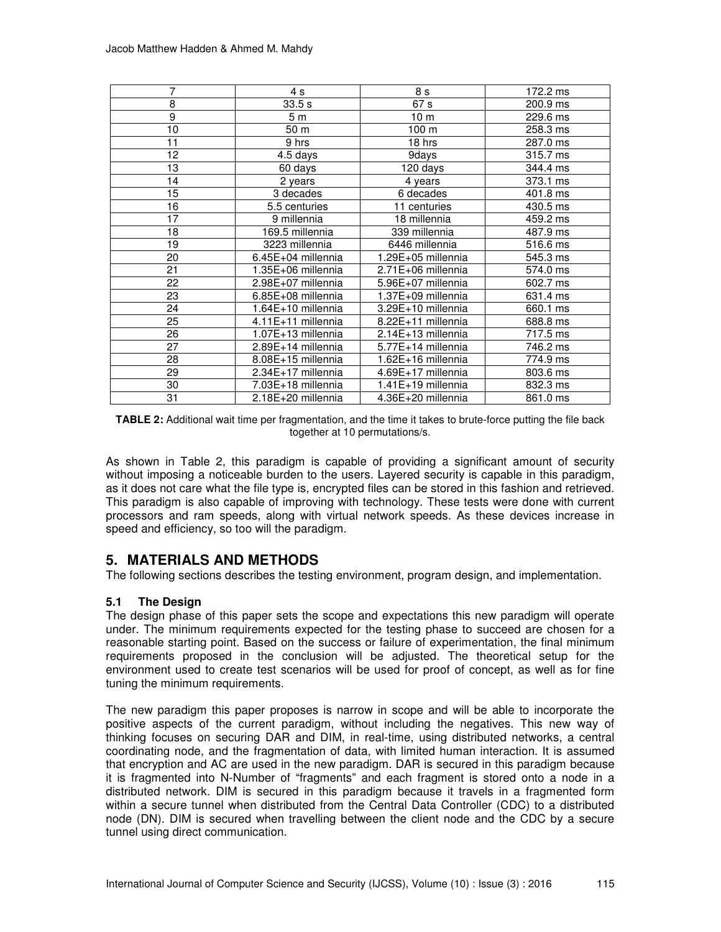| 7              | 4 s                  | 8 s                | 172.2 ms |
|----------------|----------------------|--------------------|----------|
| 8              | 33.5 s               | 67 s               | 200.9 ms |
| $\overline{9}$ | 5 <sub>m</sub>       | 10 <sub>m</sub>    | 229.6 ms |
| 10             | 50 <sub>m</sub>      | 100 m              | 258.3 ms |
| 11             | 9 hrs                | 18 hrs             | 287.0 ms |
| 12             | 4.5 days             | 9days              | 315.7 ms |
| 13             | 60 days              | 120 days           | 344.4 ms |
| 14             | 2 years              | 4 years            | 373.1 ms |
| 15             | 3 decades            | 6 decades          | 401.8 ms |
| 16             | 5.5 centuries        | 11 centuries       | 430.5 ms |
| 17             | 9 millennia          | 18 millennia       | 459.2 ms |
| 18             | 169.5 millennia      | 339 millennia      | 487.9 ms |
| 19             | 3223 millennia       | 6446 millennia     | 516.6 ms |
| 20             | $6.45E+04$ millennia | 1.29E+05 millennia | 545.3 ms |
| 21             | 1.35E+06 millennia   | 2.71E+06 millennia | 574.0 ms |
| 22             | 2.98E+07 millennia   | 5.96E+07 millennia | 602.7 ms |
| 23             | 6.85E+08 millennia   | 1.37E+09 millennia | 631.4 ms |
| 24             | $1.64E+10$ millennia | 3.29E+10 millennia | 660.1 ms |
| 25             | 4.11E+11 millennia   | 8.22E+11 millennia | 688.8 ms |
| 26             | 1.07E+13 millennia   | 2.14E+13 millennia | 717.5 ms |
| 27             | 2.89E+14 millennia   | 5.77E+14 millennia | 746.2 ms |
| 28             | 8.08E+15 millennia   | 1.62E+16 millennia | 774.9 ms |
| 29             | 2.34E+17 millennia   | 4.69E+17 millennia | 803.6 ms |
| 30             | 7.03E+18 millennia   | 1.41E+19 millennia | 832.3 ms |
| 31             | 2.18E+20 millennia   | 4.36E+20 millennia | 861.0 ms |

**TABLE 2:** Additional wait time per fragmentation, and the time it takes to brute-force putting the file back together at 10 permutations/s.

As shown in Table 2, this paradigm is capable of providing a significant amount of security without imposing a noticeable burden to the users. Layered security is capable in this paradigm, as it does not care what the file type is, encrypted files can be stored in this fashion and retrieved. This paradigm is also capable of improving with technology. These tests were done with current processors and ram speeds, along with virtual network speeds. As these devices increase in speed and efficiency, so too will the paradigm.

## **5. MATERIALS AND METHODS**

The following sections describes the testing environment, program design, and implementation.

#### **5.1 The Design**

The design phase of this paper sets the scope and expectations this new paradigm will operate under. The minimum requirements expected for the testing phase to succeed are chosen for a reasonable starting point. Based on the success or failure of experimentation, the final minimum requirements proposed in the conclusion will be adjusted. The theoretical setup for the environment used to create test scenarios will be used for proof of concept, as well as for fine tuning the minimum requirements.

The new paradigm this paper proposes is narrow in scope and will be able to incorporate the positive aspects of the current paradigm, without including the negatives. This new way of thinking focuses on securing DAR and DIM, in real-time, using distributed networks, a central coordinating node, and the fragmentation of data, with limited human interaction. It is assumed that encryption and AC are used in the new paradigm. DAR is secured in this paradigm because it is fragmented into N-Number of "fragments" and each fragment is stored onto a node in a distributed network. DIM is secured in this paradigm because it travels in a fragmented form within a secure tunnel when distributed from the Central Data Controller (CDC) to a distributed node (DN). DIM is secured when travelling between the client node and the CDC by a secure tunnel using direct communication.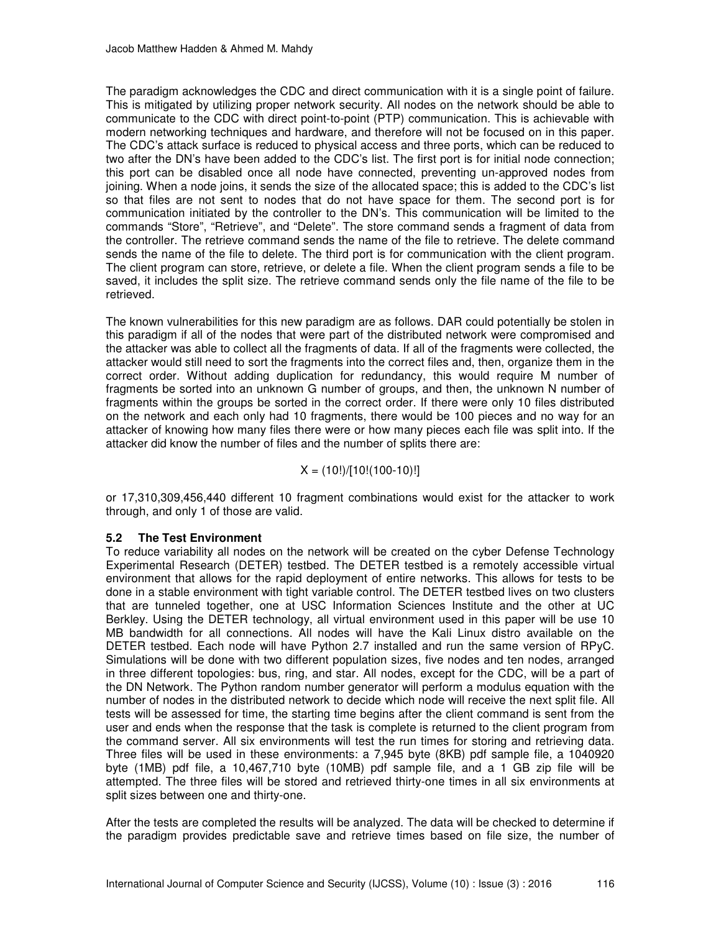The paradigm acknowledges the CDC and direct communication with it is a single point of failure. This is mitigated by utilizing proper network security. All nodes on the network should be able to communicate to the CDC with direct point-to-point (PTP) communication. This is achievable with modern networking techniques and hardware, and therefore will not be focused on in this paper. The CDC's attack surface is reduced to physical access and three ports, which can be reduced to two after the DN's have been added to the CDC's list. The first port is for initial node connection; this port can be disabled once all node have connected, preventing un-approved nodes from joining. When a node joins, it sends the size of the allocated space; this is added to the CDC's list so that files are not sent to nodes that do not have space for them. The second port is for communication initiated by the controller to the DN's. This communication will be limited to the commands "Store", "Retrieve", and "Delete". The store command sends a fragment of data from the controller. The retrieve command sends the name of the file to retrieve. The delete command sends the name of the file to delete. The third port is for communication with the client program. The client program can store, retrieve, or delete a file. When the client program sends a file to be saved, it includes the split size. The retrieve command sends only the file name of the file to be retrieved.

The known vulnerabilities for this new paradigm are as follows. DAR could potentially be stolen in this paradigm if all of the nodes that were part of the distributed network were compromised and the attacker was able to collect all the fragments of data. If all of the fragments were collected, the attacker would still need to sort the fragments into the correct files and, then, organize them in the correct order. Without adding duplication for redundancy, this would require M number of fragments be sorted into an unknown G number of groups, and then, the unknown N number of fragments within the groups be sorted in the correct order. If there were only 10 files distributed on the network and each only had 10 fragments, there would be 100 pieces and no way for an attacker of knowing how many files there were or how many pieces each file was split into. If the attacker did know the number of files and the number of splits there are:

$$
X = (10!)/[10!(100-10)!]
$$

or 17,310,309,456,440 different 10 fragment combinations would exist for the attacker to work through, and only 1 of those are valid.

#### **5.2 The Test Environment**

To reduce variability all nodes on the network will be created on the cyber Defense Technology Experimental Research (DETER) testbed. The DETER testbed is a remotely accessible virtual environment that allows for the rapid deployment of entire networks. This allows for tests to be done in a stable environment with tight variable control. The DETER testbed lives on two clusters that are tunneled together, one at USC Information Sciences Institute and the other at UC Berkley. Using the DETER technology, all virtual environment used in this paper will be use 10 MB bandwidth for all connections. All nodes will have the Kali Linux distro available on the DETER testbed. Each node will have Python 2.7 installed and run the same version of RPyC. Simulations will be done with two different population sizes, five nodes and ten nodes, arranged in three different topologies: bus, ring, and star. All nodes, except for the CDC, will be a part of the DN Network. The Python random number generator will perform a modulus equation with the number of nodes in the distributed network to decide which node will receive the next split file. All tests will be assessed for time, the starting time begins after the client command is sent from the user and ends when the response that the task is complete is returned to the client program from the command server. All six environments will test the run times for storing and retrieving data. Three files will be used in these environments: a 7,945 byte (8KB) pdf sample file, a 1040920 byte (1MB) pdf file, a 10,467,710 byte (10MB) pdf sample file, and a 1 GB zip file will be attempted. The three files will be stored and retrieved thirty-one times in all six environments at split sizes between one and thirty-one.

After the tests are completed the results will be analyzed. The data will be checked to determine if the paradigm provides predictable save and retrieve times based on file size, the number of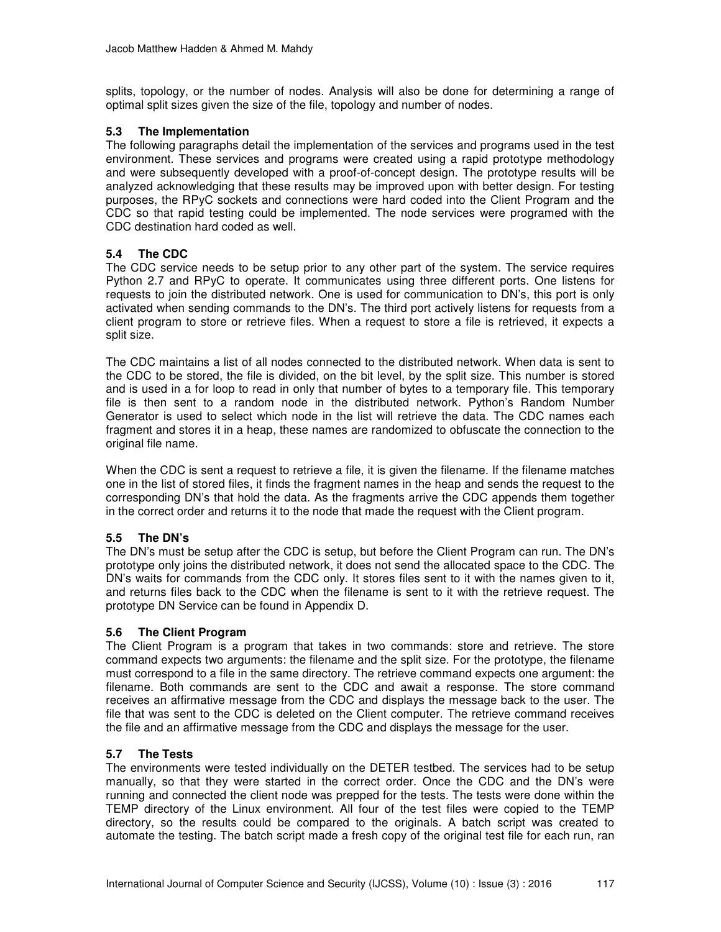splits, topology, or the number of nodes. Analysis will also be done for determining a range of optimal split sizes given the size of the file, topology and number of nodes.

#### **5.3 The Implementation**

The following paragraphs detail the implementation of the services and programs used in the test environment. These services and programs were created using a rapid prototype methodology and were subsequently developed with a proof-of-concept design. The prototype results will be analyzed acknowledging that these results may be improved upon with better design. For testing purposes, the RPyC sockets and connections were hard coded into the Client Program and the CDC so that rapid testing could be implemented. The node services were programed with the CDC destination hard coded as well.

#### **5.4 The CDC**

The CDC service needs to be setup prior to any other part of the system. The service requires Python 2.7 and RPyC to operate. It communicates using three different ports. One listens for requests to join the distributed network. One is used for communication to DN's, this port is only activated when sending commands to the DN's. The third port actively listens for requests from a client program to store or retrieve files. When a request to store a file is retrieved, it expects a split size.

The CDC maintains a list of all nodes connected to the distributed network. When data is sent to the CDC to be stored, the file is divided, on the bit level, by the split size. This number is stored and is used in a for loop to read in only that number of bytes to a temporary file. This temporary file is then sent to a random node in the distributed network. Python's Random Number Generator is used to select which node in the list will retrieve the data. The CDC names each fragment and stores it in a heap, these names are randomized to obfuscate the connection to the original file name.

When the CDC is sent a request to retrieve a file, it is given the filename. If the filename matches one in the list of stored files, it finds the fragment names in the heap and sends the request to the corresponding DN's that hold the data. As the fragments arrive the CDC appends them together in the correct order and returns it to the node that made the request with the Client program.

#### **5.5 The DN's**

The DN's must be setup after the CDC is setup, but before the Client Program can run. The DN's prototype only joins the distributed network, it does not send the allocated space to the CDC. The DN's waits for commands from the CDC only. It stores files sent to it with the names given to it, and returns files back to the CDC when the filename is sent to it with the retrieve request. The prototype DN Service can be found in Appendix D.

#### **5.6 The Client Program**

The Client Program is a program that takes in two commands: store and retrieve. The store command expects two arguments: the filename and the split size. For the prototype, the filename must correspond to a file in the same directory. The retrieve command expects one argument: the filename. Both commands are sent to the CDC and await a response. The store command receives an affirmative message from the CDC and displays the message back to the user. The file that was sent to the CDC is deleted on the Client computer. The retrieve command receives the file and an affirmative message from the CDC and displays the message for the user.

#### **5.7 The Tests**

The environments were tested individually on the DETER testbed. The services had to be setup manually, so that they were started in the correct order. Once the CDC and the DN's were running and connected the client node was prepped for the tests. The tests were done within the TEMP directory of the Linux environment. All four of the test files were copied to the TEMP directory, so the results could be compared to the originals. A batch script was created to automate the testing. The batch script made a fresh copy of the original test file for each run, ran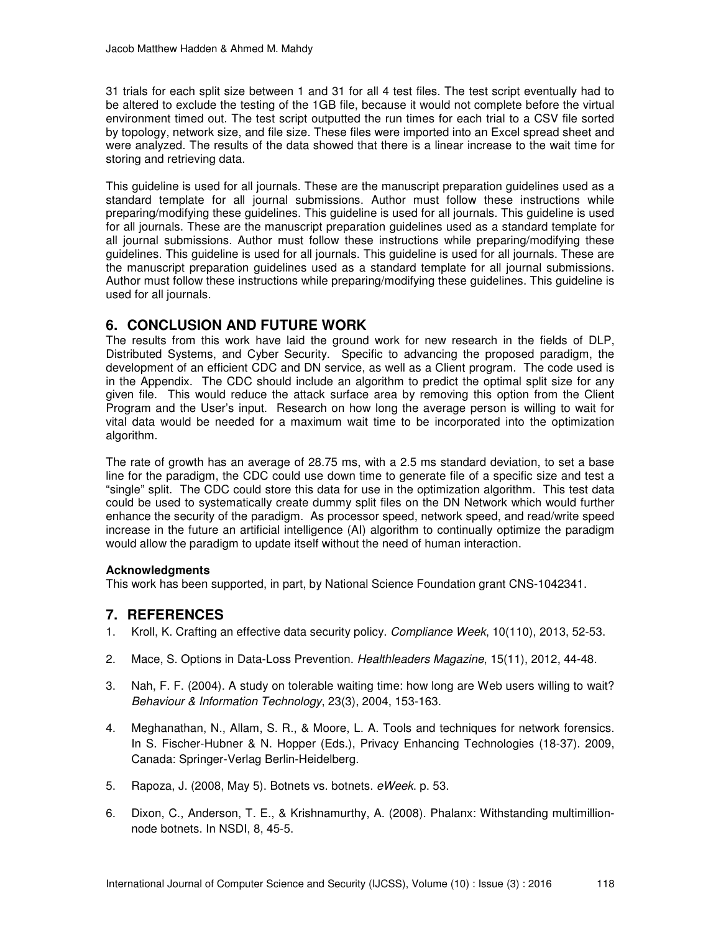31 trials for each split size between 1 and 31 for all 4 test files. The test script eventually had to be altered to exclude the testing of the 1GB file, because it would not complete before the virtual environment timed out. The test script outputted the run times for each trial to a CSV file sorted by topology, network size, and file size. These files were imported into an Excel spread sheet and were analyzed. The results of the data showed that there is a linear increase to the wait time for storing and retrieving data.

This guideline is used for all journals. These are the manuscript preparation guidelines used as a standard template for all journal submissions. Author must follow these instructions while preparing/modifying these guidelines. This guideline is used for all journals. This guideline is used for all journals. These are the manuscript preparation guidelines used as a standard template for all journal submissions. Author must follow these instructions while preparing/modifying these guidelines. This guideline is used for all journals. This guideline is used for all journals. These are the manuscript preparation guidelines used as a standard template for all journal submissions. Author must follow these instructions while preparing/modifying these guidelines. This guideline is used for all journals.

## **6. CONCLUSION AND FUTURE WORK**

The results from this work have laid the ground work for new research in the fields of DLP, Distributed Systems, and Cyber Security. Specific to advancing the proposed paradigm, the development of an efficient CDC and DN service, as well as a Client program. The code used is in the Appendix. The CDC should include an algorithm to predict the optimal split size for any given file. This would reduce the attack surface area by removing this option from the Client Program and the User's input. Research on how long the average person is willing to wait for vital data would be needed for a maximum wait time to be incorporated into the optimization algorithm.

The rate of growth has an average of 28.75 ms, with a 2.5 ms standard deviation, to set a base line for the paradigm, the CDC could use down time to generate file of a specific size and test a "single" split. The CDC could store this data for use in the optimization algorithm. This test data could be used to systematically create dummy split files on the DN Network which would further enhance the security of the paradigm. As processor speed, network speed, and read/write speed increase in the future an artificial intelligence (AI) algorithm to continually optimize the paradigm would allow the paradigm to update itself without the need of human interaction.

#### **Acknowledgments**

This work has been supported, in part, by National Science Foundation grant CNS-1042341.

# **7. REFERENCES**

- 1. Kroll, K. Crafting an effective data security policy. Compliance Week, 10(110), 2013, 52-53.
- 2. Mace, S. Options in Data-Loss Prevention. Healthleaders Magazine, 15(11), 2012, 44-48.
- 3. Nah, F. F. (2004). A study on tolerable waiting time: how long are Web users willing to wait? Behaviour & Information Technology, 23(3), 2004, 153-163.
- 4. Meghanathan, N., Allam, S. R., & Moore, L. A. Tools and techniques for network forensics. In S. Fischer-Hubner & N. Hopper (Eds.), Privacy Enhancing Technologies (18-37). 2009, Canada: Springer-Verlag Berlin-Heidelberg.
- 5. Rapoza, J. (2008, May 5). Botnets vs. botnets. eWeek. p. 53.
- 6. Dixon, C., Anderson, T. E., & Krishnamurthy, A. (2008). Phalanx: Withstanding multimillionnode botnets. In NSDI, 8, 45-5.